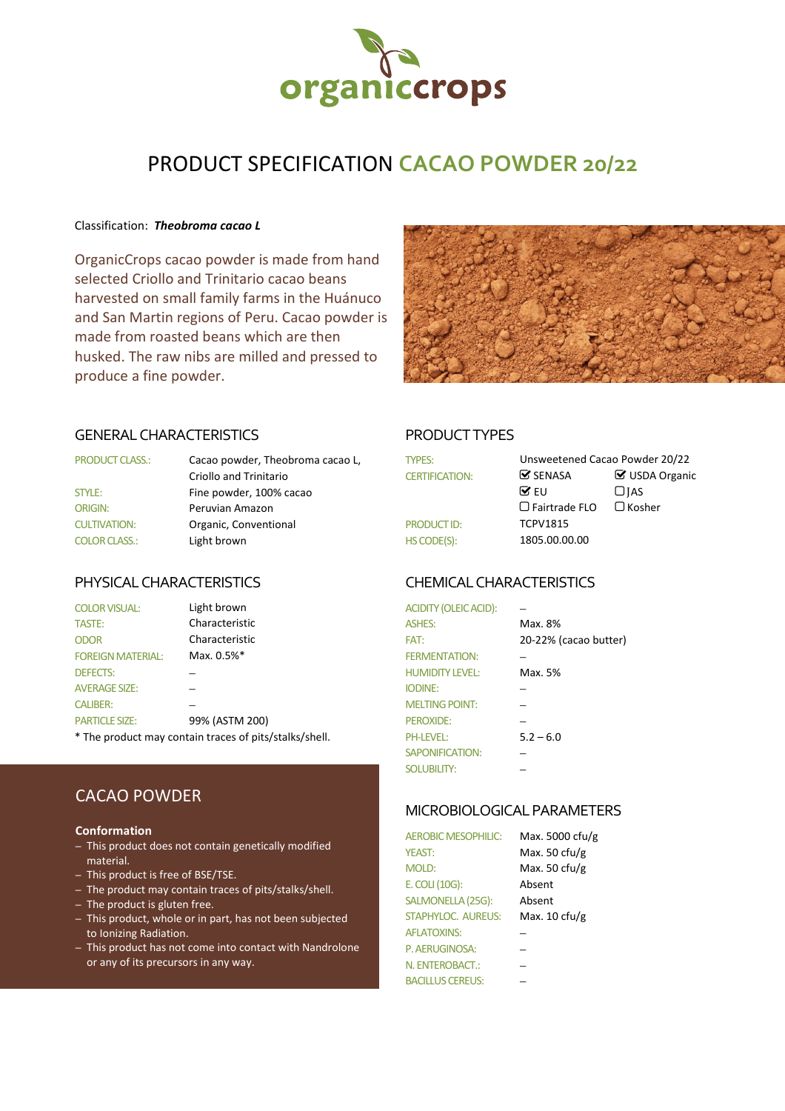

# PRODUCT SPECIFICATION **CACAO POWDER 20/22**

### Classification: *Theobroma cacao L*

OrganicCrops cacao powder is made from hand selected Criollo and Trinitario cacao beans harvested on small family farms in the Huánuco and San Martin regions of Peru. Cacao powder is made from roasted beans which are then husked. The raw nibs are milled and pressed to produce a fine powder.



### GENERAL CHARACTERISTICS PRODUCT TYPES

| <b>PRODUCT CLASS.:</b> | Cacao powder, Theobroma cacao L, | <b>TYPES:</b>         | Unsweetened Cacao Powder      |                    |
|------------------------|----------------------------------|-----------------------|-------------------------------|--------------------|
|                        | Criollo and Trinitario           | <b>CERTIFICATION:</b> | $\mathbf{\mathcal{S}}$ SENASA | $\boxtimes$ USDA 0 |
| STYLE:                 | Fine powder, 100% cacao          |                       | $\triangledown$ FU            | $\Box$ IAS         |
| <b>ORIGIN:</b>         | Peruvian Amazon                  |                       | $\Box$ Fairtrade FLO          | $\Box$ Kosher      |
| <b>CULTIVATION:</b>    | Organic, Conventional            | <b>PRODUCT ID:</b>    | <b>TCPV1815</b>               |                    |
| <b>COLOR CLASS.:</b>   | Light brown                      | HS CODE(S):           | 1805.00.00.00                 |                    |

| <b>COLOR VISUAL:</b>     | Light brown                                                                                                                                                                                                                     | <b>ACIDITY (OLEIC ACID):</b> |                       |
|--------------------------|---------------------------------------------------------------------------------------------------------------------------------------------------------------------------------------------------------------------------------|------------------------------|-----------------------|
| <b>TASTE:</b>            | Characteristic                                                                                                                                                                                                                  | <b>ASHES:</b>                | Max. 8%               |
| <b>ODOR</b>              | Characteristic                                                                                                                                                                                                                  | FAT:                         | 20-22% (cacao butter) |
| <b>FOREIGN MATERIAL:</b> | Max. 0.5%*                                                                                                                                                                                                                      | <b>FERMENTATION:</b>         |                       |
| <b>DEFECTS:</b>          |                                                                                                                                                                                                                                 | <b>HUMIDITY LEVEL:</b>       | Max. 5%               |
| <b>AVERAGE SIZE:</b>     |                                                                                                                                                                                                                                 | <b>IODINE:</b>               |                       |
| <b>CALIBER:</b>          |                                                                                                                                                                                                                                 | <b>MELTING POINT:</b>        |                       |
| <b>PARTICLE SIZE:</b>    | 99% (ASTM 200)                                                                                                                                                                                                                  | PEROXIDE:                    |                       |
|                          | $\sim$ . The contract of the contract of the contract of the contract of the contract of the contract of the contract of the contract of the contract of the contract of the contract of the contract of the contract of the co |                              |                       |

\* The product may contain traces of pits/stalks/shell.

# CACAO POWDER

### **Conformation**

- This product does not contain genetically modified material.
- This product is free of BSE/TSE.
- The product may contain traces of pits/stalks/shell.
- The product is gluten free.
- This product, whole or in part, has not been subjected to Ionizing Radiation.
- This product has not come into contact with Nandrolone or any of its precursors in any way.

| <b>PRODUCT CLASS.:</b> | Cacao powder, Theobroma cacao L,<br>Criollo and Trinitario | <b>TYPES:</b><br><b>CERTIFICATION:</b> | $\mathbf{\mathcal{G}}$ SENASA | Unsweetened Cacao Powder 20/22<br>■ USDA Organic |  |
|------------------------|------------------------------------------------------------|----------------------------------------|-------------------------------|--------------------------------------------------|--|
| <b>STYLE:</b>          | Fine powder, 100% cacao                                    |                                        | $\mathbf{\nabla}$ EU          | $\Box$ IAS                                       |  |
| ORIGIN:                | Peruvian Amazon                                            |                                        | $\Box$ Fairtrade FLO          | $\Box$ Kosher                                    |  |
| <b>CULTIVATION:</b>    | Organic, Conventional                                      | <b>PRODUCT ID:</b>                     | <b>TCPV1815</b>               |                                                  |  |
| <b>COLOR CLASS.:</b>   | Light brown                                                | HS CODE(S):                            | 1805.00.00.00                 |                                                  |  |
|                        |                                                            |                                        |                               |                                                  |  |

### PHYSICAL CHARACTERISTICS CHEMICAL CHARACTERISTICS

| <b>ACIDITY (OLEIC ACID):</b> |                       |
|------------------------------|-----------------------|
| <b>ASHES:</b>                | Max. 8%               |
| FAT:                         | 20-22% (cacao butter) |
| <b>FERMENTATION:</b>         |                       |
| <b>HUMIDITY LEVEL:</b>       | Max. 5%               |
| <b>IODINE:</b>               |                       |
| <b>MELTING POINT:</b>        |                       |
| <b>PEROXIDE:</b>             |                       |
| <b>PH-LEVEL:</b>             | $5.2 - 6.0$           |
| <b>SAPONIFICATION:</b>       |                       |
| <b>SOLUBILITY:</b>           |                       |

### MICROBIOLOGICAL PARAMETERS

| <b>AEROBIC MESOPHILIC:</b> | Max. 5000 cfu/g          |
|----------------------------|--------------------------|
| <b>YEAST:</b>              | Max. 50 $ctu/g$          |
| <b>MOLD:</b>               | Max. 50 $ctu/g$          |
| E. COLI (10G):             | Absent                   |
| SALMONELLA (25G):          | Absent                   |
| STAPHYLOC. AUREUS:         | Max. $10 \text{ c}$ fu/g |
| <b>AFLATOXINS:</b>         |                          |
| P. AERUGINOSA:             |                          |
| N. ENTEROBACT.:            |                          |
| <b>BACILLUS CEREUS:</b>    |                          |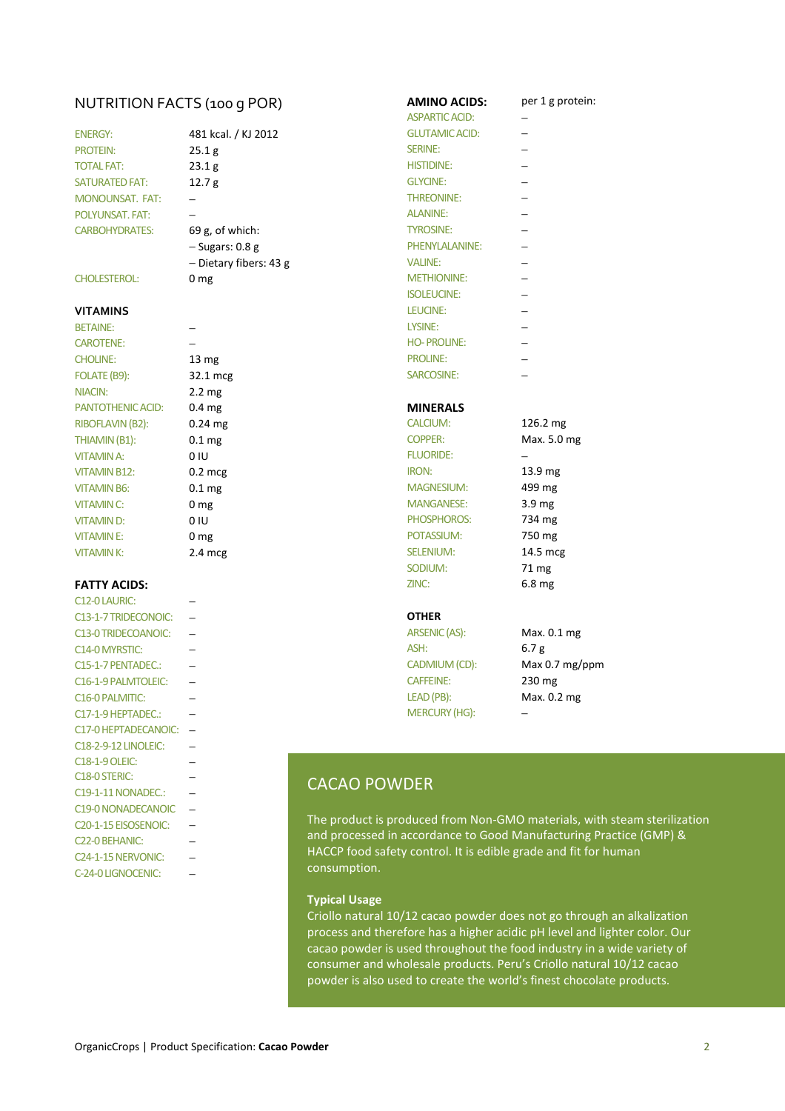| OrganicCrops   Product Specification: Cacao Powder |  |
|----------------------------------------------------|--|

# NUTRITION FACTS (100 G POR) **AMINO ACIDS:** per 1 g protein:

| <b>ENERGY:</b>         |  |
|------------------------|--|
| <b>PROTEIN:</b>        |  |
| <b>TOTAL FAT:</b>      |  |
| <b>SATURATED FAT:</b>  |  |
| <b>MONOUNSAT, FAT:</b> |  |
| POLYUNSAT, FAT:        |  |
| <b>CARBOHYDRATES:</b>  |  |

### **VITAMINS**

### **FATTY ACIDS:**

| C <sub>12</sub> -0 LAURIC:        |                     |                                                       |                      |
|-----------------------------------|---------------------|-------------------------------------------------------|----------------------|
| C13-1-7 TRIDECONOIC:              |                     | <b>OTHER</b>                                          |                      |
| C13-0 TRIDECOANOIC:               |                     | ARSENIC (AS):                                         | Max. 0.1 mg          |
| C <sub>14</sub> -0 MYRSTIC:       |                     | ASH:                                                  | 6.7 <sub>g</sub>     |
| C15-1-7 PENTADEC.:                |                     | CADMIUM (CD):                                         | Max $0.7 \text{ mg}$ |
| C <sub>16</sub> -1-9 PALMTOLEIC:  |                     | <b>CAFFEINE:</b>                                      | 230 mg               |
| C <sub>16</sub> -0 PALMITIC:      |                     | LEAD (PB):                                            | Max. 0.2 mg          |
| C17-1-9 HEPTADEC.:                |                     | <b>MERCURY (HG):</b>                                  |                      |
| C17-0 HEPTADECANOIC:              |                     |                                                       |                      |
| C18-2-9-12 LINOLEIC:              |                     |                                                       |                      |
| <b>C18-1-9 OLEIC:</b>             |                     |                                                       |                      |
| C18-0 STERIC:                     | <b>CACAO POWDER</b> |                                                       |                      |
| C19-1-11 NONADEC.:                |                     |                                                       |                      |
| C19-0 NONADECANOIC                |                     |                                                       |                      |
| C <sub>20</sub> -1-15 EISOSENOIC: |                     | The product is produced from Non-GMO materials,       |                      |
| C <sub>22</sub> -0 BEHANIC:       |                     | and processed in accordance to Good Manufacturin      |                      |
| C <sub>24</sub> -1-15 NERVONIC:   |                     | HACCP food safety control. It is edible grade and fit |                      |
| C-24-0 LIGNOCENIC:                | consumption.        |                                                       |                      |

| <b>CHOLINE:</b>           | $13 \text{ mg}$   | <b>PROLINE:</b>   |                    |
|---------------------------|-------------------|-------------------|--------------------|
| FOLATE (B9):              | 32.1 mcg          | SARCOSINE:        |                    |
| NIACIN:                   | $2.2 \text{ mg}$  |                   |                    |
| <b>PANTOTHENIC ACID:</b>  | 0.4 <sub>mg</sub> | <b>MINERALS</b>   |                    |
| RIBOFLAVIN (B2):          | $0.24$ mg         | <b>CALCIUM:</b>   | 126.2 mg           |
| THIAMIN (B1):             | 0.1 <sub>mg</sub> | <b>COPPER:</b>    | Max. 5.0 mg        |
| VITAMIN A:                | 0 IU              | <b>FLUORIDE:</b>  |                    |
| <b>VITAMIN B12:</b>       | $0.2$ mcg         | <b>IRON:</b>      | 13.9 <sub>mg</sub> |
| <b>VITAMIN B6:</b>        | 0.1 <sub>mg</sub> | <b>MAGNESIUM:</b> | 499 mg             |
| <b>VITAMIN C:</b>         | 0 <sub>mg</sub>   | <b>MANGANESE:</b> | 3.9 <sub>mg</sub>  |
| <b>VITAMIND:</b>          | 0 IU              | PHOSPHOROS:       | 734 mg             |
| <b>VITAMINE:</b>          | 0 <sub>mg</sub>   | POTASSIUM:        | 750 mg             |
| <b>VITAMINK:</b>          | $2.4 \text{ mcg}$ | <b>SELENIUM:</b>  | 14.5 mcg           |
|                           |                   | SODIUM:           | 71 mg              |
| <b>FATTY ACIDS:</b>       |                   | ZINC:             | 6.8 <sub>mg</sub>  |
| C <sub>12</sub> -OLAURIC: |                   |                   |                    |
|                           |                   | $\sim$ - $\sim$   |                    |

− CADMIUM (CD): Max 0.7 mg/ppm

# CACAO POWDER

The product is produced from Non-GMO materials, with steam sterilization and processed in accordance to Good Manufacturing Practice (GMP) & HACCP food safety control. It is edible grade and fit for human consumption.

### **Typical Usage**

Criollo natural 10/12 cacao powder does not go through an alkalization process and therefore has a higher acidic pH level and lighter color. Our cacao powder is used throughout the food industry in a wide variety of consumer and wholesale products. Peru's Criollo natural 10/12 cacao powder is also used to create the world's finest chocolate products.

| <b>ENERGY:</b>          | 481 kcal. / KJ 2012    | <b>GLUTAMIC ACID:</b> |                    |
|-------------------------|------------------------|-----------------------|--------------------|
| <b>PROTEIN:</b>         | 25.1 g                 | <b>SERINE:</b>        |                    |
| <b>TOTAL FAT:</b>       | 23.1 g                 | <b>HISTIDINE:</b>     |                    |
| <b>SATURATED FAT:</b>   | 12.7 <sub>g</sub>      | <b>GLYCINE:</b>       |                    |
| <b>MONOUNSAT. FAT:</b>  |                        | <b>THREONINE:</b>     |                    |
| <b>POLYUNSAT, FAT:</b>  |                        | <b>ALANINE:</b>       |                    |
| <b>CARBOHYDRATES:</b>   | 69 g, of which:        | <b>TYROSINE:</b>      |                    |
|                         | $-$ Sugars: 0.8 g      | <b>PHENYLALANINE:</b> |                    |
|                         | - Dietary fibers: 43 g | <b>VALINE:</b>        |                    |
| <b>CHOLESTEROL:</b>     | 0 <sub>mg</sub>        | <b>METHIONINE:</b>    |                    |
|                         |                        | <b>ISOLEUCINE:</b>    |                    |
| VITAMINS                |                        | LEUCINE:              |                    |
| <b>BETAINE:</b>         |                        | LYSINE:               |                    |
| <b>CAROTENE:</b>        |                        | <b>HO-PROLINE:</b>    |                    |
| <b>CHOLINE:</b>         | 13 mg                  | <b>PROLINE:</b>       |                    |
| FOLATE (B9):            | 32.1 mcg               | SARCOSINE:            |                    |
| NIACIN:                 | 2.2 mg                 |                       |                    |
| PANTOTHENIC ACID:       | 0.4 <sub>mg</sub>      | <b>MINERALS</b>       |                    |
| <b>RIBOFLAVIN (B2):</b> | $0.24$ mg              | <b>CALCIUM:</b>       | 126.2 mg           |
| THIAMIN (B1):           | 0.1 <sub>mg</sub>      | <b>COPPER:</b>        | Max. 5.0 mg        |
| <b>VITAMINA:</b>        | 0 IU                   | <b>FLUORIDE:</b>      |                    |
| <b>VITAMIN B12:</b>     | $0.2$ mcg              | <b>IRON:</b>          | 13.9 <sub>mg</sub> |
| <b>VITAMIN B6:</b>      | 0.1 <sub>mg</sub>      | <b>MAGNESIUM:</b>     | 499 mg             |
| <b>VITAMIN C:</b>       | 0 <sub>mg</sub>        | <b>MANGANESE:</b>     | 3.9 <sub>mg</sub>  |
| <b>VITAMIND:</b>        | 0 IU                   | PHOSPHOROS:           | 734 mg             |
| <b>VITAMINE:</b>        | 0 <sub>mg</sub>        | POTASSIUM:            | 750 mg             |
| <b>VITAMINK:</b>        | $2.4$ mcg              | <b>SELENIUM:</b>      | 14.5 mcg           |
|                         |                        | SODIUM:               | 71 mg              |
| <b>FATTY ACIDS:</b>     |                        | ZINC:                 | 6.8 <sub>mg</sub>  |
| C12-0 LAURIC:           |                        |                       |                    |
| C13-1-7 TRIDECONOIC:    |                        | <b>OTHER</b>          |                    |
| C13-0 TRIDECOANOIC:     |                        | ARSENIC (AS):         | Max. 0.1 mg        |
| C14-0 MYRSTIC:          |                        | ASH:                  | 6.7 <sub>g</sub>   |

ASPARTIC ACID: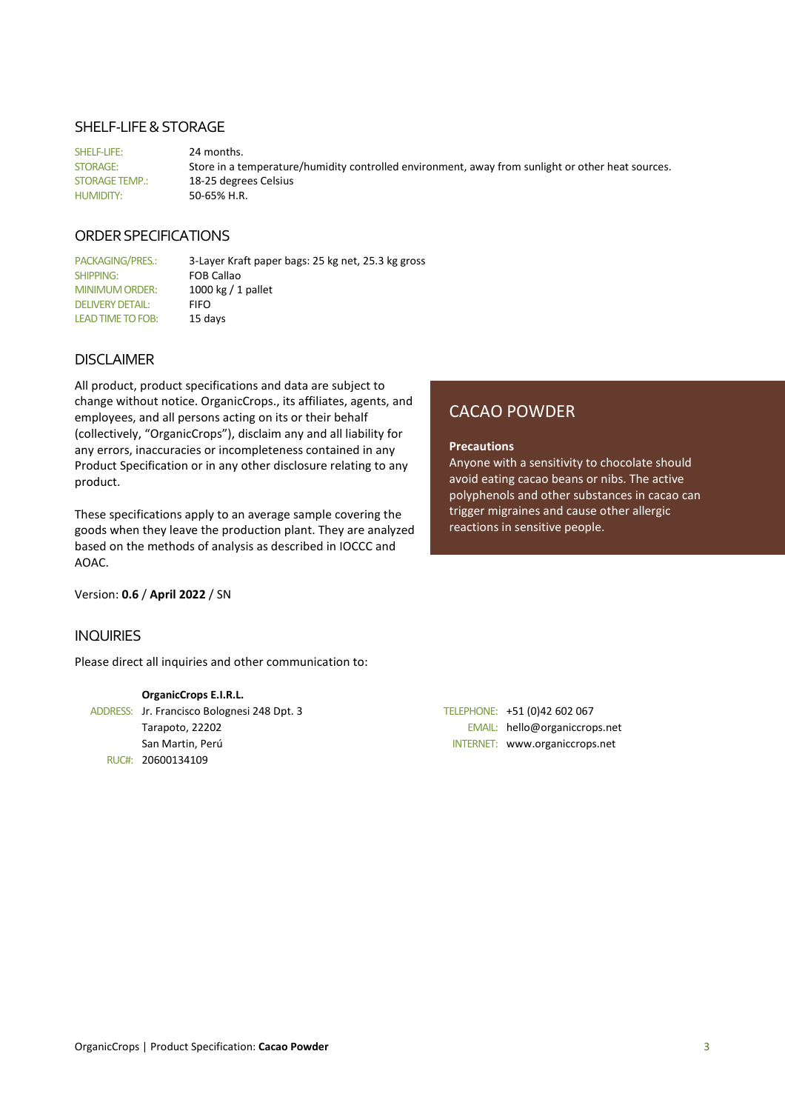### SHELF-LIFE & STORAGE

SHELF-LIFE: 24 months. STORAGE: Store in a temperature/humidity controlled environment, away from sunlight or other heat sources. STORAGE TEMP.: 18-25 degrees Celsius HUMIDITY: 50-65% H.R.

# ORDER SPECIFICATIONS

PACKAGING/PRES.: 3-Layer Kraft paper bags: 25 kg net, 25.3 kg gross SHIPPING: FOB Callao MINIMUM ORDER: 1000 kg / 1 pallet DELIVERY DETAIL: FIFO LEAD TIME TO FOB: 15 days

### DISCLAIMER

All product, product specifications and data are subject to change without notice. OrganicCrops., its affiliates, agents, and employees, and all persons acting on its or their behalf (collectively, "OrganicCrops"), disclaim any and all liability for any errors, inaccuracies or incompleteness contained in any Product Specification or in any other disclosure relating to any product.

These specifications apply to an average sample covering the goods when they leave the production plant. They are analyzed based on the methods of analysis as described in IOCCC and AOAC.

Version: **0.6** / **April 2022** / SN

### INQUIRIES

Please direct all inquiries and other communication to:

# **OrganicCrops E.I.R.L.**

ADDRESS: Jr. Francisco Bolognesi 248 Dpt. 3 TELEPHONE: +51 (0)42 602 067 San Martin, Perú INTERNET: www.organiccrops.net RUC#: 20600134109

CACAO POWDER

### **Precautions**

Anyone with a sensitivity to chocolate should avoid eating cacao beans or nibs. The active polyphenols and other substances in cacao can trigger migraines and cause other allergic reactions in sensitive people.

Tarapoto, 22202 EMAIL: hello@organiccrops.net